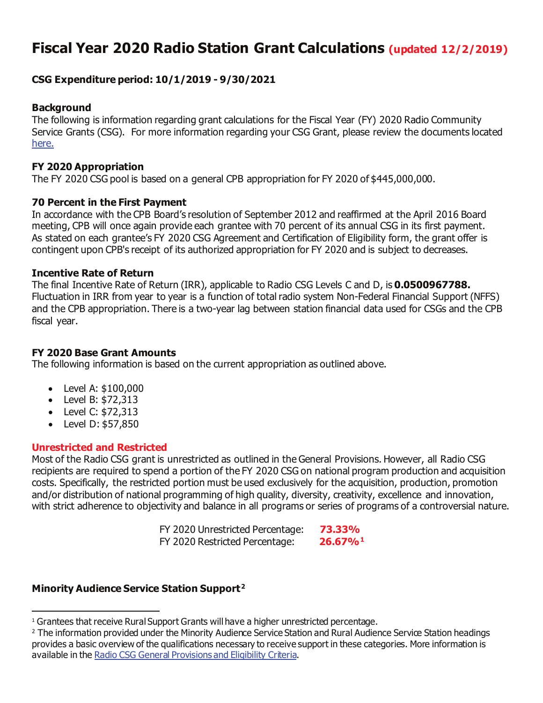# **Fiscal Year 2020 Radio Station Grant Calculations (updated 12/2/2019)**

### **CSG Expenditure period: 10/1/2019 - 9/30/2021**

#### **Background**

The following is information regarding grant calculations for the Fiscal Year (FY) 2020 Radio Community Service Grants (CSG). For more information regarding your CSG Grant, please review the documents located [here.](https://www.cpb.org/stations)

#### **FY 2020 Appropriation**

The FY 2020 CSG pool is based on a general CPB appropriation for FY 2020 of \$445,000,000.

#### **70 Percent in the First Payment**

In accordance with the CPB Board's resolution of September 2012 and reaffirmed at the April 2016 Board meeting, CPB will once again provide each grantee with 70 percent of its annual CSG in its first payment. As stated on each grantee's FY 2020 CSG Agreement and Certification of Eligibility form, the grant offer is contingent upon CPB's receipt of its authorized appropriation for FY 2020 and is subject to decreases.

#### **Incentive Rate of Return**

The final Incentive Rate of Return (IRR), applicable to Radio CSG Levels C and D, is **0.0500967788.** Fluctuation in IRR from year to year is a function of total radio system Non-Federal Financial Support (NFFS) and the CPB appropriation. There is a two-year lag between station financial data used for CSGs and the CPB fiscal year.

#### **FY 2020 Base Grant Amounts**

The following information is based on the current appropriation as outlined above.

- Level A: \$100,000
- Level B: \$72,313
- Level C: \$72,313
- Level D: \$57,850

#### **Unrestricted and Restricted**

Most of the Radio CSG grant is unrestricted as outlined in the General Provisions. However, all Radio CSG recipients are required to spend a portion of the FY 2020 CSG on national program production and acquisition costs. Specifically, the restricted portion must be used exclusively for the acquisition, production, promotion and/or distribution of national programming of high quality, diversity, creativity, excellence and innovation, with strict adherence to objectivity and balance in all programs or series of programs of a controversial nature.

| FY 2020 Unrestricted Percentage: | 73.33%                 |
|----------------------------------|------------------------|
| FY 2020 Restricted Percentage:   | $26.67\%$ <sup>1</sup> |

## **Minority Audience Service Station Support[2](#page-0-1)**

<span id="page-0-0"></span><sup>&</sup>lt;sup>1</sup> Grantees that receive Rural Support Grants will have a higher unrestricted percentage.

<span id="page-0-1"></span><sup>&</sup>lt;sup>2</sup> The information provided under the Minority Audience Service Station and Rural Audience Service Station headings provides a basic overview of the qualifications necessary to receive support in these categories. More information is available in the [Radio CSG General Provisions and Eligibility Criteria](https://www.cpb.org/stations/grants/radio/generalprovisions/).